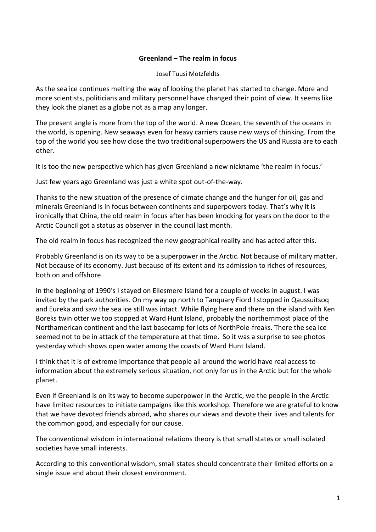## **Greenland – The realm in focus**

Josef Tuusi Motzfeldts

As the sea ice continues melting the way of looking the planet has started to change. More and more scientists, politicians and military personnel have changed their point of view. It seems like they look the planet as a globe not as a map any longer.

The present angle is more from the top of the world. A new Ocean, the seventh of the oceans in the world, is opening. New seaways even for heavy carriers cause new ways of thinking. From the top of the world you see how close the two traditional superpowers the US and Russia are to each other.

It is too the new perspective which has given Greenland a new nickname 'the realm in focus.'

Just few years ago Greenland was just a white spot out-of-the-way.

Thanks to the new situation of the presence of climate change and the hunger for oil, gas and minerals Greenland is in focus between continents and superpowers today. That's why it is ironically that China, the old realm in focus after has been knocking for years on the door to the Arctic Council got a status as observer in the council last month.

The old realm in focus has recognized the new geographical reality and has acted after this.

Probably Greenland is on its way to be a superpower in the Arctic. Not because of military matter. Not because of its economy. Just because of its extent and its admission to riches of resources, both on and offshore.

In the beginning of 1990's I stayed on Ellesmere Island for a couple of weeks in august. I was invited by the park authorities. On my way up north to Tanquary Fiord I stopped in Qaussuitsoq and Eureka and saw the sea ice still was intact. While flying here and there on the island with Ken Boreks twin otter we too stopped at Ward Hunt Island, probably the northernmost place of the Northamerican continent and the last basecamp for lots of NorthPole-freaks. There the sea ice seemed not to be in attack of the temperature at that time. So it was a surprise to see photos yesterday which shows open water among the coasts of Ward Hunt Island.

I think that it is of extreme importance that people all around the world have real access to information about the extremely serious situation, not only for us in the Arctic but for the whole planet.

Even if Greenland is on its way to become superpower in the Arctic, we the people in the Arctic have limited resources to initiate campaigns like this workshop. Therefore we are grateful to know that we have devoted friends abroad, who shares our views and devote their lives and talents for the common good, and especially for our cause.

The conventional wisdom in international relations theory is that small states or small isolated societies have small interests.

According to this conventional wisdom, small states should concentrate their limited efforts on a single issue and about their closest environment.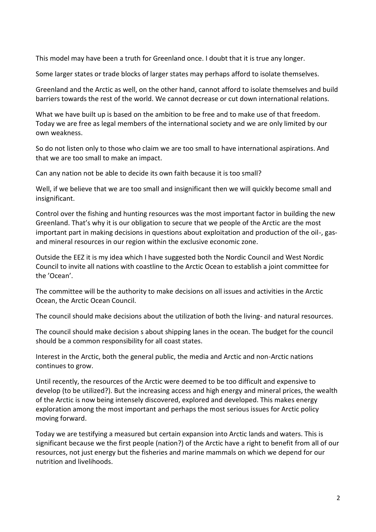This model may have been a truth for Greenland once. I doubt that it is true any longer.

Some larger states or trade blocks of larger states may perhaps afford to isolate themselves.

Greenland and the Arctic as well, on the other hand, cannot afford to isolate themselves and build barriers towards the rest of the world. We cannot decrease or cut down international relations.

What we have built up is based on the ambition to be free and to make use of that freedom. Today we are free as legal members of the international society and we are only limited by our own weakness.

So do not listen only to those who claim we are too small to have international aspirations. And that we are too small to make an impact.

Can any nation not be able to decide its own faith because it is too small?

Well, if we believe that we are too small and insignificant then we will quickly become small and insignificant.

Control over the fishing and hunting resources was the most important factor in building the new Greenland. That's why it is our obligation to secure that we people of the Arctic are the most important part in making decisions in questions about exploitation and production of the oil-, gasand mineral resources in our region within the exclusive economic zone.

Outside the EEZ it is my idea which I have suggested both the Nordic Council and West Nordic Council to invite all nations with coastline to the Arctic Ocean to establish a joint committee for the 'Ocean'.

The committee will be the authority to make decisions on all issues and activities in the Arctic Ocean, the Arctic Ocean Council.

The council should make decisions about the utilization of both the living- and natural resources.

The council should make decision s about shipping lanes in the ocean. The budget for the council should be a common responsibility for all coast states.

Interest in the Arctic, both the general public, the media and Arctic and non-Arctic nations continues to grow.

Until recently, the resources of the Arctic were deemed to be too difficult and expensive to develop (to be utilized?). But the increasing access and high energy and mineral prices, the wealth of the Arctic is now being intensely discovered, explored and developed. This makes energy exploration among the most important and perhaps the most serious issues for Arctic policy moving forward.

Today we are testifying a measured but certain expansion into Arctic lands and waters. This is significant because we the first people (nation?) of the Arctic have a right to benefit from all of our resources, not just energy but the fisheries and marine mammals on which we depend for our nutrition and livelihoods.